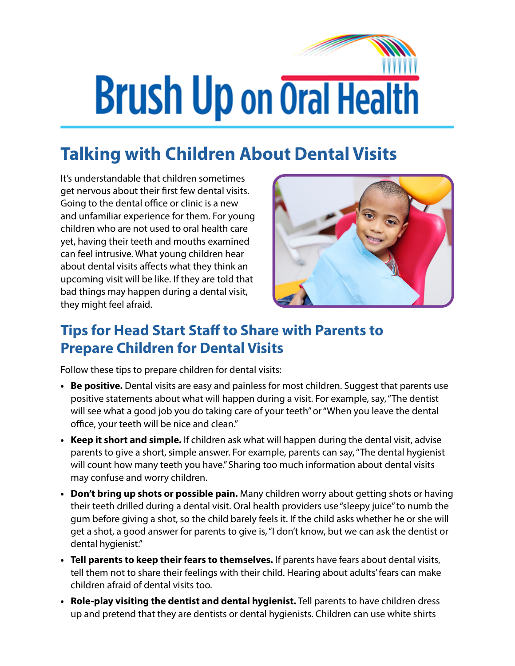## **Brush Up on Oral Health**

## **Talking with Children About Dental Visits**

It's understandable that children sometimes get nervous about their first few dental visits. Going to the dental office or clinic is a new and unfamiliar experience for them. For young children who are not used to oral health care yet, having their teeth and mouths examined can feel intrusive. What young children hear about dental visits affects what they think an upcoming visit will be like. If they are told that bad things may happen during a dental visit, they might feel afraid.



## **Tips for Head Start Staff to Share with Parents to Prepare Children for Dental Visits**

Follow these tips to prepare children for dental visits:

- **• Be positive.** Dental visits are easy and painless for most children. Suggest that parents use positive statements about what will happen during a visit. For example, say, "The dentist will see what a good job you do taking care of your teeth" or "When you leave the dental office, your teeth will be nice and clean."
- **• Keep it short and simple.** If children ask what will happen during the dental visit, advise parents to give a short, simple answer. For example, parents can say, "The dental hygienist will count how many teeth you have." Sharing too much information about dental visits may confuse and worry children.
- **• Don't bring up shots or possible pain.** Many children worry about getting shots or having their teeth drilled during a dental visit. Oral health providers use "sleepy juice" to numb the gum before giving a shot, so the child barely feels it. If the child asks whether he or she will get a shot, a good answer for parents to give is, "I don't know, but we can ask the dentist or dental hygienist."
- **• Tell parents to keep their fears to themselves.** If parents have fears about dental visits, tell them not to share their feelings with their child. Hearing about adults' fears can make children afraid of dental visits too.
- **• Role-play visiting the dentist and dental hygienist.** Tell parents to have children dress up and pretend that they are dentists or dental hygienists. Children can use white shirts